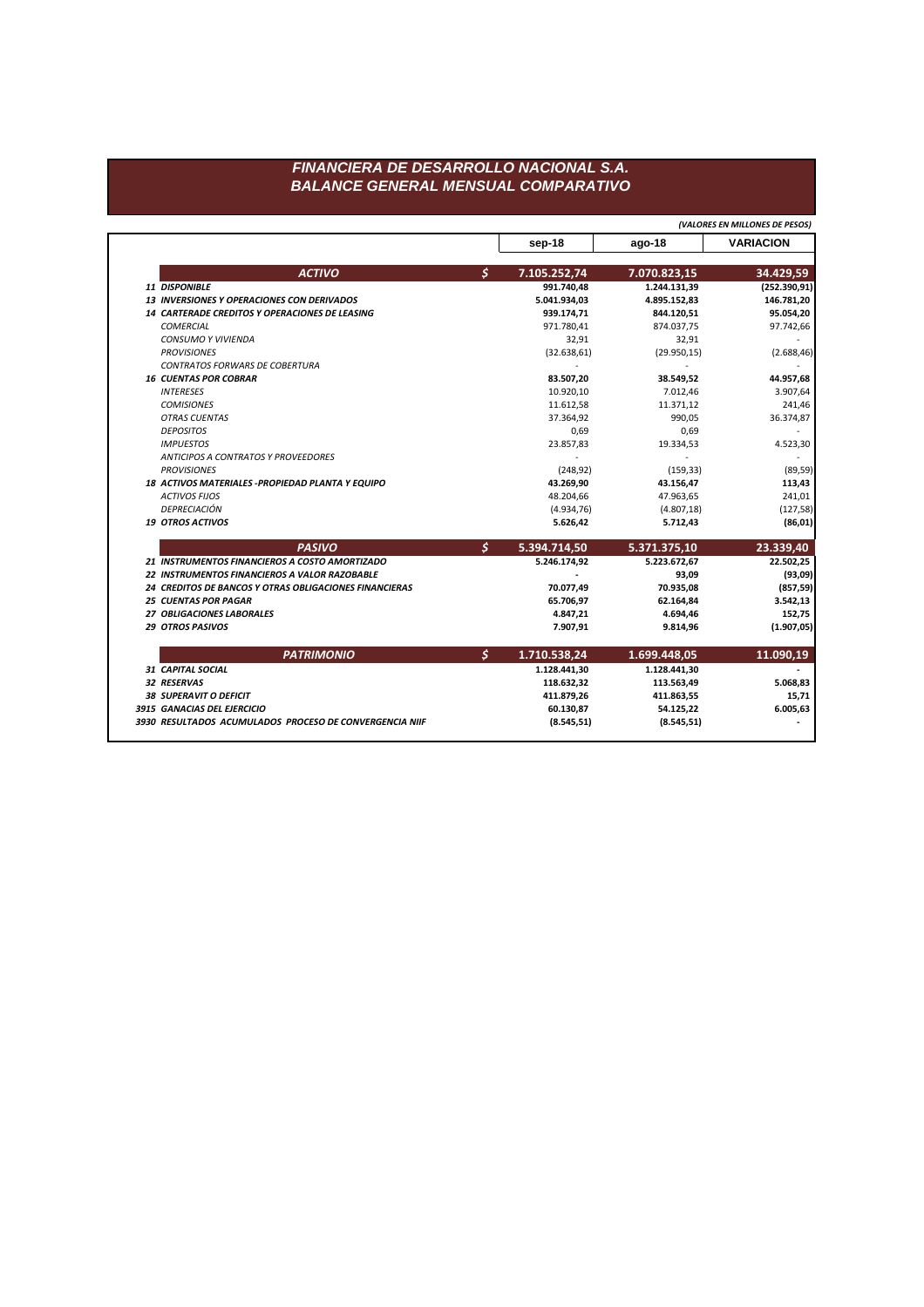## FINANCIERA DE DESARROLLO NACIONAL S.A. **BALANCE GENERAL MENSUAL COMPARATIVO**

(VALORES EN MILLONES DE PESOS) **VARIACION** sep-18 ago-18  $\mathsf{S}$ **ACTIVO** 7.105.252,74 7.070.823,15 34.429,59 991.740,48  $(252.390, 91)$ 11 DISPONIBLE 1.244.131,39 5.041.934,03 13 INVERSIONES Y OPERACIONES CON DERIVADOS 146.781,20 4.895.152,83 844.120,51 14 CARTERADE CREDITOS Y OPERACIONES DE LEASING 939.174,71 95.054,20 **COMERCIAL** 971.780,41 874.037,75 97.742,66 CONSUMO Y VIVIENDA 32,91 32,91 **PROVISIONES**  $(32.638, 61)$  $(29.950, 15)$  $(2.688, 46)$ CONTRATOS FORWARS DE COBERTURA  $\sim$  $\sim$ **16 CUENTAS POR COBRAR** 83.507,20 38.549,52 44.957,68 **INTERESES** 10.920,10 7.012,46 3.907,64 **COMISIONES** 11.612,58 11.371,12 241,46 **OTRAS CUENTAS** 37.364,92 990,05 36.374,87 **DEPOSITOS** 0,69 0,69 **IMPUESTOS** 23.857,83 19.334,53 4.523,30 ANTICIPOS A CONTRATOS Y PROVEEDORES  $\sim$  $\sim$  $\sim$ **PROVISIONES**  $(248, 92)$  $(159, 33)$  $(89, 59)$ 18 ACTIVOS MATERIALES - PROPIEDAD PLANTA Y EQUIPO 43.269,90 43.156,47 113,43 **ACTIVOS FIJOS** 241,01 48.204,66 47.963,65 DEPRECIACIÓN  $(127, 58)$  $(4.934, 76)$  $(4.807, 18)$ **19 OTROS ACTIVOS** 5.626,42 5.712,43  $(86, 01)$  $\mathsf{S}$ **PASIVO** 5.394.714,50 5.371.375,10 23.339,40 21 INSTRUMENTOS FINANCIEROS A COSTO AMORTIZADO 5.246.174,92 5.223.672,67 22.502,25 22 INSTRUMENTOS FINANCIEROS A VALOR RAZOBABLE 93,09  $(93,09)$  $\sim$ 24 CREDITOS DE BANCOS Y OTRAS OBLIGACIONES FINANCIERAS 70.077,49 70.935,08  $(857, 59)$ **25 CUENTAS POR PAGAR** 65.706,97 62.164,84 3.542,13 27 OBLIGACIONES LABORALES 152,75 4.847,21 4.694,46 29 OTROS PASIVOS 7.907,91  $(1.907, 05)$ 9.814,96  $\mathsf{S}$ **PATRIMONIO** 1.710.538,24 1.699.448,05 11.090,19 31 CAPITAL SOCIAL 1.128.441,30 1.128.441,30 32 RESERVAS 5.068,83 118.632,32 113.563,49 **38 SUPERAVIT O DEFICIT** 411.879,26 411.863,55 15,71 3915 GANACIAS DEL EJERCICIO 54.125,22 60.130,87 6.005,63 3930 RESULTADOS ACUMULADOS PROCESO DE CONVERGENCIA NIIF  $(8.545, 51)$  $(8.545, 51)$